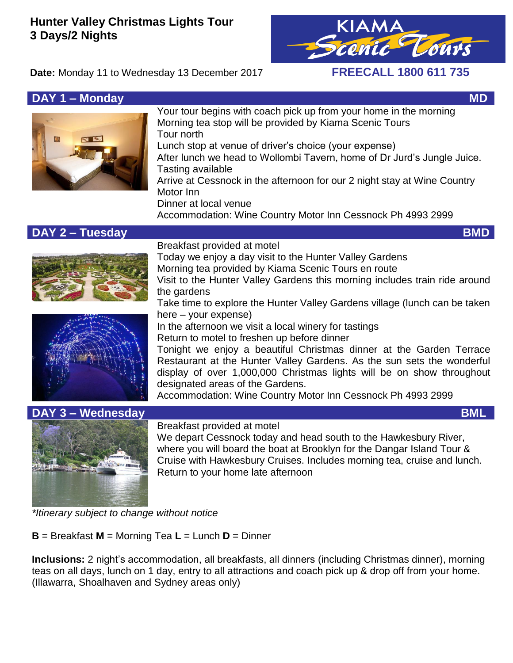# **Hunter Valley Christmas Lights Tour 3 Days/2 Nights**



**Date:** Monday 11 to Wednesday 13 December 2017 **FREECALL 1800 611 735**



**DAY 1 – Monday MD MONDAY** MUSIC CONSUMING THE CONSUMING THE CONSUMING THE CONSUMING THE CONSUMING THE CONSUMING THE CONSUMING THE CONSUMING THE CONSUMING THE CONSUMING THE CONSUMING THE CONSUMING THE CONSUMING THE CONSU Your tour begins with coach pick up from your home in the morning Morning tea stop will be provided by Kiama Scenic Tours Tour north Lunch stop at venue of driver's choice (your expense) After lunch we head to Wollombi Tavern, home of Dr Jurd's Jungle Juice. Tasting available Arrive at Cessnock in the afternoon for our 2 night stay at Wine Country Motor Inn Dinner at local venue Accommodation: Wine Country Motor Inn Cessnock Ph 4993 2999

## **DAY 2 – Tuesday BMD**





Breakfast provided at motel

Today we enjoy a day visit to the Hunter Valley Gardens Morning tea provided by Kiama Scenic Tours en route Visit to the Hunter Valley Gardens this morning includes train ride around the gardens

Take time to explore the Hunter Valley Gardens village (lunch can be taken here – your expense)

In the afternoon we visit a local winery for tastings Return to motel to freshen up before dinner

Tonight we enjoy a beautiful Christmas dinner at the Garden Terrace Restaurant at the Hunter Valley Gardens. As the sun sets the wonderful display of over 1,000,000 Christmas lights will be on show throughout designated areas of the Gardens.

Accommodation: Wine Country Motor Inn Cessnock Ph 4993 2999



Breakfast provided at motel

We depart Cessnock today and head south to the Hawkesbury River, where you will board the boat at Brooklyn for the Dangar Island Tour & Cruise with Hawkesbury Cruises. Includes morning tea, cruise and lunch. Return to your home late afternoon

*\*Itinerary subject to change without notice*

**B** = Breakfast **M** = Morning Tea **L** = Lunch **D** = Dinner

**Inclusions:** 2 night's accommodation, all breakfasts, all dinners (including Christmas dinner), morning teas on all days, lunch on 1 day, entry to all attractions and coach pick up & drop off from your home. (Illawarra, Shoalhaven and Sydney areas only)